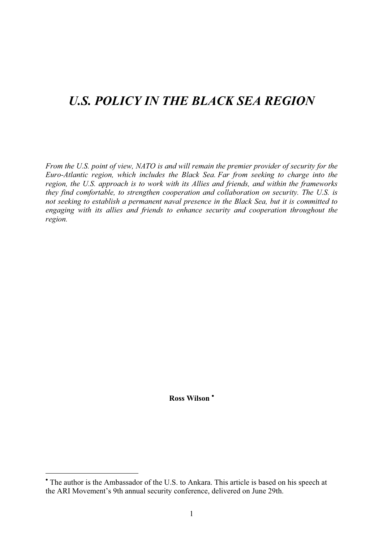# *U.S. POLICY IN THE BLACK SEA REGION*

*From the U.S. point of view, NATO is and will remain the premier provider of security for the Euro-Atlantic region, which includes the Black Sea. Far from seeking to charge into the region, the U.S. approach is to work with its Allies and friends, and within the frameworks they find comfortable, to strengthen cooperation and collaboration on security. The U.S. is not seeking to establish a permanent naval presence in the Black Sea, but it is committed to engaging with its allies and friends to enhance security and cooperation throughout the region.*

Ross Wilson<sup>\*</sup>

 $*$  The author is the Ambassador of the U.S. to Ankara. This article is based on his speech at the ARI Movement's 9th annual security conference, delivered on June 29th.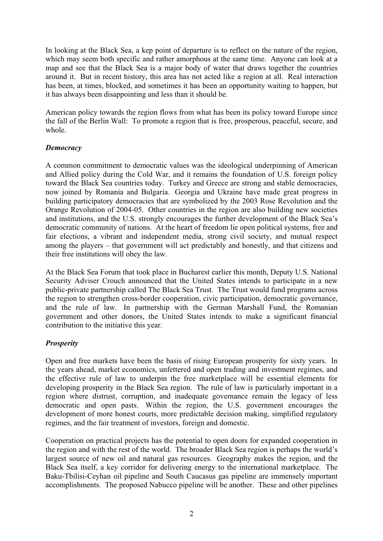In looking at the Black Sea, a kep point of departure is to reflect on the nature of the region, which may seem both specific and rather amorphous at the same time. Anyone can look at a map and see that the Black Sea is a major body of water that draws together the countries around it. But in recent history, this area has not acted like a region at all. Real interaction has been, at times, blocked, and sometimes it has been an opportunity waiting to happen, but it has always been disappointing and less than it should be.

American policy towards the region flows from what has been its policy toward Europe since the fall of the Berlin Wall: To promote a region that is free, prosperous, peaceful, secure, and whole.

# *Democracy*

A common commitment to democratic values was the ideological underpinning of American and Allied policy during the Cold War, and it remains the foundation of U.S. foreign policy toward the Black Sea countries today. Turkey and Greece are strong and stable democracies, now joined by Romania and Bulgaria. Georgia and Ukraine have made great progress in building participatory democracies that are symbolized by the 2003 Rose Revolution and the Orange Revolution of 2004-05. Other countries in the region are also building new societies and institutions, and the U.S. strongly encourages the further development of the Black Sea's democratic community of nations. At the heart of freedom lie open political systems, free and fair elections, a vibrant and independent media, strong civil society, and mutual respect among the players – that government will act predictably and honestly, and that citizens and their free institutions will obey the law.

At the Black Sea Forum that took place in Bucharest earlier this month, Deputy U.S. National Security Adviser Crouch announced that the United States intends to participate in a new public-private partnership called The Black Sea Trust. The Trust would fund programs across the region to strengthen cross-border cooperation, civic participation, democratic governance, and the rule of law. In partnership with the German Marshall Fund, the Romanian government and other donors, the United States intends to make a significant financial contribution to the initiative this year.

# *Prosperity*

Open and free markets have been the basis of rising European prosperity for sixty years. In the years ahead, market economics, unfettered and open trading and investment regimes, and the effective rule of law to underpin the free marketplace will be essential elements for developing prosperity in the Black Sea region. The rule of law is particularly important in a region where distrust, corruption, and inadequate governance remain the legacy of less democratic and open pasts. Within the region, the U.S. government encourages the development of more honest courts, more predictable decision making, simplified regulatory regimes, and the fair treatment of investors, foreign and domestic.

Cooperation on practical projects has the potential to open doors for expanded cooperation in the region and with the rest of the world. The broader Black Sea region is perhaps the world's largest source of new oil and natural gas resources. Geography makes the region, and the Black Sea itself, a key corridor for delivering energy to the international marketplace. The Baku-Tbilisi-Ceyhan oil pipeline and South Caucasus gas pipeline are immensely important accomplishments. The proposed Nabucco pipeline will be another. These and other pipelines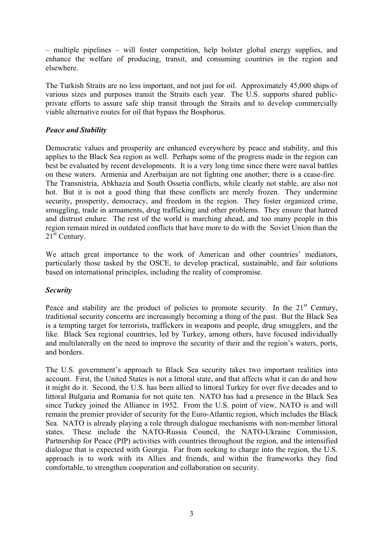– multiple pipelines – will foster competition, help bolster global energy supplies, and enhance the welfare of producing, transit, and consuming countries in the region and elsewhere.

The Turkish Straits are no less important, and not just for oil. Approximately 45,000 ships of various sizes and purposes transit the Straits each year. The U.S. supports shared publicprivate efforts to assure safe ship transit through the Straits and to develop commercially viable alternative routes for oil that bypass the Bosphorus.

## *Peace and Stability*

Democratic values and prosperity are enhanced everywhere by peace and stability, and this applies to the Black Sea region as well. Perhaps some of the progress made in the region can best be evaluated by recent developments. It is a very long time since there were naval battles on these waters. Armenia and Azerbaijan are not fighting one another; there is a cease-fire. The Transnistria, Abkhazia and South Ossetia conflicts, while clearly not stable, are also not hot. But it is not a good thing that these conflicts are merely frozen. They undermine security, prosperity, democracy, and freedom in the region. They foster organized crime, smuggling, trade in armaments, drug trafficking and other problems. They ensure that hatred and distrust endure. The rest of the world is marching ahead, and too many people in this region remain mired in outdated conflicts that have more to do with the Soviet Union than the 21<sup>st</sup> Century.

We attach great importance to the work of American and other countries' mediators, particularly those tasked by the OSCE, to develop practical, sustainable, and fair solutions based on international principles, including the reality of compromise.

#### *Security*

Peace and stability are the product of policies to promote security. In the  $21<sup>st</sup>$  Century, traditional security concerns are increasingly becoming a thing of the past. But the Black Sea is a tempting target for terrorists, traffickers in weapons and people, drug smugglers, and the like. Black Sea regional countries, led by Turkey, among others, have focused individually and multilaterally on the need to improve the security of their and the region's waters, ports, and borders.

The U.S. government's approach to Black Sea security takes two important realities into account. First, the United States is not a littoral state, and that affects what it can do and how it might do it. Second, the U.S. has been allied to littoral Turkey for over five decades and to littoral Bulgaria and Romania for not quite ten. NATO has had a presence in the Black Sea since Turkey joined the Alliance in 1952. From the U.S. point of view, NATO is and will remain the premier provider of security for the Euro-Atlantic region, which includes the Black Sea. NATO is already playing a role through dialogue mechanisms with non-member littoral states. These include the NATO-Russia Council, the NATO-Ukraine Commission, Partnership for Peace (PfP) activities with countries throughout the region, and the intensified dialogue that is expected with Georgia. Far from seeking to charge into the region, the U.S. approach is to work with its Allies and friends, and within the frameworks they find comfortable, to strengthen cooperation and collaboration on security.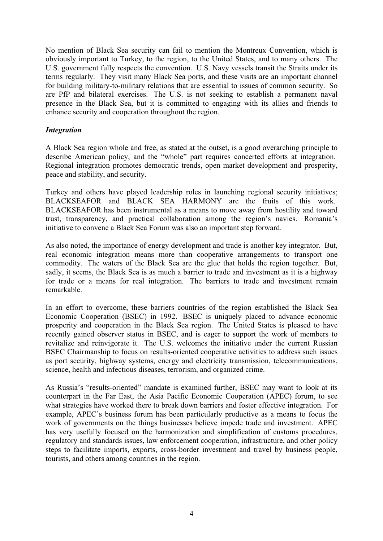No mention of Black Sea security can fail to mention the Montreux Convention, which is obviously important to Turkey, to the region, to the United States, and to many others. The U.S. government fully respects the convention. U.S. Navy vessels transit the Straits under its terms regularly. They visit many Black Sea ports, and these visits are an important channel for building military-to-military relations that are essential to issues of common security. So are PfP and bilateral exercises. The U.S. is not seeking to establish a permanent naval presence in the Black Sea, but it is committed to engaging with its allies and friends to enhance security and cooperation throughout the region.

### *Integration*

A Black Sea region whole and free, as stated at the outset, is a good overarching principle to describe American policy, and the "whole" part requires concerted efforts at integration. Regional integration promotes democratic trends, open market development and prosperity, peace and stability, and security.

Turkey and others have played leadership roles in launching regional security initiatives; BLACKSEAFOR and BLACK SEA HARMONY are the fruits of this work. BLACKSEAFOR has been instrumental as a means to move away from hostility and toward trust, transparency, and practical collaboration among the region's navies. Romania's initiative to convene a Black Sea Forum was also an important step forward.

As also noted, the importance of energy development and trade is another key integrator. But, real economic integration means more than cooperative arrangements to transport one commodity. The waters of the Black Sea are the glue that holds the region together. But, sadly, it seems, the Black Sea is as much a barrier to trade and investment as it is a highway for trade or a means for real integration. The barriers to trade and investment remain remarkable.

In an effort to overcome, these barriers countries of the region established the Black Sea Economic Cooperation (BSEC) in 1992. BSEC is uniquely placed to advance economic prosperity and cooperation in the Black Sea region. The United States is pleased to have recently gained observer status in BSEC, and is eager to support the work of members to revitalize and reinvigorate it. The U.S. welcomes the initiative under the current Russian BSEC Chairmanship to focus on results-oriented cooperative activities to address such issues as port security, highway systems, energy and electricity transmission, telecommunications, science, health and infectious diseases, terrorism, and organized crime.

As Russia's "results-oriented" mandate is examined further, BSEC may want to look at its counterpart in the Far East, the Asia Pacific Economic Cooperation (APEC) forum, to see what strategies have worked there to break down barriers and foster effective integration. For example, APEC's business forum has been particularly productive as a means to focus the work of governments on the things businesses believe impede trade and investment. APEC has very usefully focused on the harmonization and simplification of customs procedures, regulatory and standards issues, law enforcement cooperation, infrastructure, and other policy steps to facilitate imports, exports, cross-border investment and travel by business people, tourists, and others among countries in the region.